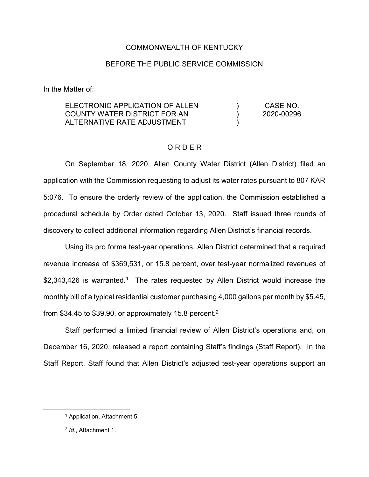### COMMONWEALTH OF KENTUCKY

### BEFORE THE PUBLIC SERVICE COMMISSION

In the Matter of:

ELECTRONIC APPLICATION OF ALLEN COUNTY WATER DISTRICT FOR AN ALTERNATIVE RATE ADJUSTMENT  $\lambda$ ) ) CASE NO. 2020-00296

#### O R D E R

On September 18, 2020, Allen County Water District (Allen District) filed an application with the Commission requesting to adjust its water rates pursuant to 807 KAR 5:076. To ensure the orderly review of the application, the Commission established a procedural schedule by Order dated October 13, 2020. Staff issued three rounds of discovery to collect additional information regarding Allen District's financial records.

Using its pro forma test-year operations, Allen District determined that a required revenue increase of \$369,531, or 15.8 percent, over test-year normalized revenues of  $$2,343,426$  is warranted.<sup>1</sup> The rates requested by Allen District would increase the monthly bill of a typical residential customer purchasing 4,000 gallons per month by \$5.45, from \$34.45 to \$39.90, or approximately 15.8 percent.<sup>2</sup>

Staff performed a limited financial review of Allen District's operations and, on December 16, 2020, released a report containing Staff's findings (Staff Report). In the Staff Report, Staff found that Allen District's adjusted test-year operations support an

 <sup>1</sup> Application, Attachment 5.

<sup>2</sup> *Id*., Attachment 1.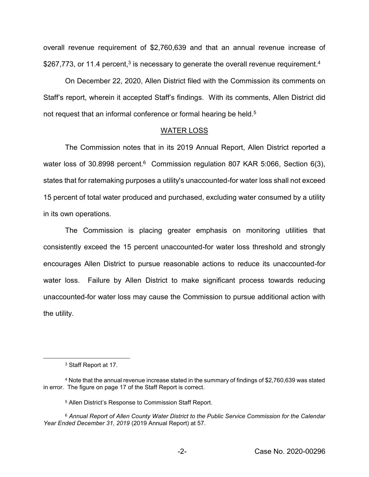overall revenue requirement of \$2,760,639 and that an annual revenue increase of \$267,773, or 11.4 percent,<sup>3</sup> is necessary to generate the overall revenue requirement.<sup>4</sup>

On December 22, 2020, Allen District filed with the Commission its comments on Staff's report, wherein it accepted Staff's findings. With its comments, Allen District did not request that an informal conference or formal hearing be held.<sup>5</sup>

#### WATER LOSS

The Commission notes that in its 2019 Annual Report, Allen District reported a water loss of 30.8998 percent.<sup>6</sup> Commission regulation 807 KAR 5:066, Section 6(3), states that for ratemaking purposes a utility's unaccounted-for water loss shall not exceed 15 percent of total water produced and purchased, excluding water consumed by a utility in its own operations.

The Commission is placing greater emphasis on monitoring utilities that consistently exceed the 15 percent unaccounted-for water loss threshold and strongly encourages Allen District to pursue reasonable actions to reduce its unaccounted-for water loss. Failure by Allen District to make significant process towards reducing unaccounted-for water loss may cause the Commission to pursue additional action with the utility.

 <sup>3</sup> Staff Report at 17.

<sup>4</sup> Note that the annual revenue increase stated in the summary of findings of \$2,760,639 was stated in error. The figure on page 17 of the Staff Report is correct.

<sup>5</sup> Allen District's Response to Commission Staff Report.

<sup>6</sup> *Annual Report of Allen County Water District to the Public Service Commission for the Calendar Year Ended December 31, 2019* (2019 Annual Report) at 57.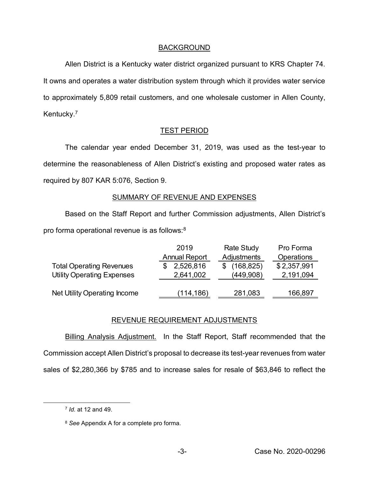## BACKGROUND

Allen District is a Kentucky water district organized pursuant to KRS Chapter 74. It owns and operates a water distribution system through which it provides water service to approximately 5,809 retail customers, and one wholesale customer in Allen County, Kentucky. 7

# TEST PERIOD

The calendar year ended December 31, 2019, was used as the test-year to determine the reasonableness of Allen District's existing and proposed water rates as required by 807 KAR 5:076, Section 9.

## SUMMARY OF REVENUE AND EXPENSES

Based on the Staff Report and further Commission adjustments, Allen District's pro forma operational revenue is as follows:8

| 2019                 | <b>Rate Study</b> | Pro Forma   |
|----------------------|-------------------|-------------|
| <b>Annual Report</b> | Adjustments       | Operations  |
| 2,526,816            | (168, 825)        | \$2,357,991 |
| 2,641,002            | (449,908)         | 2,191,094   |
|                      |                   |             |
| (114,186)            | 281,083           | 166,897     |
|                      |                   |             |

# REVENUE REQUIREMENT ADJUSTMENTS

Billing Analysis Adjustment. In the Staff Report, Staff recommended that the Commission accept Allen District's proposal to decrease its test-year revenues from water sales of \$2,280,366 by \$785 and to increase sales for resale of \$63,846 to reflect the

 <sup>7</sup> *Id.* at 12 and 49.

<sup>8</sup> *See* Appendix A for a complete pro forma.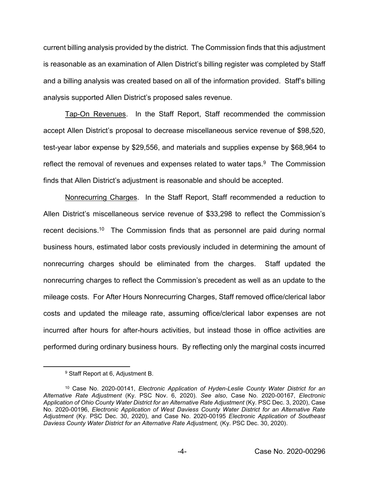current billing analysis provided by the district. The Commission finds that this adjustment is reasonable as an examination of Allen District's billing register was completed by Staff and a billing analysis was created based on all of the information provided. Staff's billing analysis supported Allen District's proposed sales revenue.

Tap-On Revenues. In the Staff Report, Staff recommended the commission accept Allen District's proposal to decrease miscellaneous service revenue of \$98,520, test-year labor expense by \$29,556, and materials and supplies expense by \$68,964 to reflect the removal of revenues and expenses related to water taps.<sup>9</sup> The Commission finds that Allen District's adjustment is reasonable and should be accepted.

Nonrecurring Charges. In the Staff Report, Staff recommended a reduction to Allen District's miscellaneous service revenue of \$33,298 to reflect the Commission's recent decisions.<sup>10</sup> The Commission finds that as personnel are paid during normal business hours, estimated labor costs previously included in determining the amount of nonrecurring charges should be eliminated from the charges. Staff updated the nonrecurring charges to reflect the Commission's precedent as well as an update to the mileage costs. For After Hours Nonrecurring Charges, Staff removed office/clerical labor costs and updated the mileage rate, assuming office/clerical labor expenses are not incurred after hours for after-hours activities, but instead those in office activities are performed during ordinary business hours. By reflecting only the marginal costs incurred

 <sup>9</sup> Staff Report at 6, Adjustment B.

<sup>10</sup> Case No. 2020-00141, *Electronic Application of Hyden-Leslie County Water District for an Alternative Rate Adjustment* (Ky. PSC Nov. 6, 2020). *See also*, Case No. 2020-00167, *Electronic*  Application of Ohio County Water District for an Alternative Rate Adjustment (Ky. PSC Dec. 3, 2020), Case No. 2020-00196, *Electronic Application of West Daviess County Water District for an Alternative Rate Adjustment* (Ky. PSC Dec. 30, 2020), and Case No. 2020-00195 *Electronic Application of Southeast Daviess County Water District for an Alternative Rate Adjustment,* (Ky. PSC Dec. 30, 2020).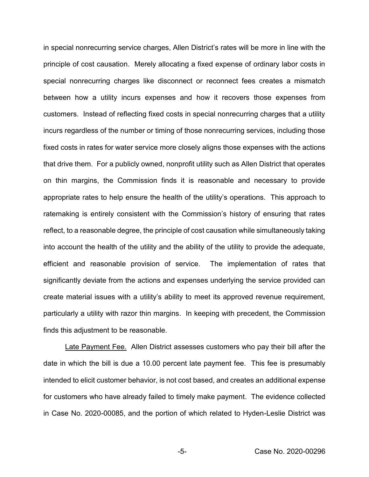in special nonrecurring service charges, Allen District's rates will be more in line with the principle of cost causation. Merely allocating a fixed expense of ordinary labor costs in special nonrecurring charges like disconnect or reconnect fees creates a mismatch between how a utility incurs expenses and how it recovers those expenses from customers. Instead of reflecting fixed costs in special nonrecurring charges that a utility incurs regardless of the number or timing of those nonrecurring services, including those fixed costs in rates for water service more closely aligns those expenses with the actions that drive them. For a publicly owned, nonprofit utility such as Allen District that operates on thin margins, the Commission finds it is reasonable and necessary to provide appropriate rates to help ensure the health of the utility's operations. This approach to ratemaking is entirely consistent with the Commission's history of ensuring that rates reflect, to a reasonable degree, the principle of cost causation while simultaneously taking into account the health of the utility and the ability of the utility to provide the adequate, efficient and reasonable provision of service. The implementation of rates that significantly deviate from the actions and expenses underlying the service provided can create material issues with a utility's ability to meet its approved revenue requirement, particularly a utility with razor thin margins. In keeping with precedent, the Commission finds this adjustment to be reasonable.

Late Payment Fee. Allen District assesses customers who pay their bill after the date in which the bill is due a 10.00 percent late payment fee. This fee is presumably intended to elicit customer behavior, is not cost based, and creates an additional expense for customers who have already failed to timely make payment. The evidence collected in Case No. 2020-00085, and the portion of which related to Hyden-Leslie District was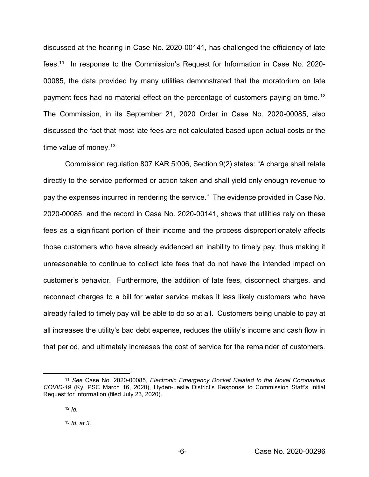discussed at the hearing in Case No. 2020-00141, has challenged the efficiency of late fees.11 In response to the Commission's Request for Information in Case No. 2020- 00085, the data provided by many utilities demonstrated that the moratorium on late payment fees had no material effect on the percentage of customers paying on time.<sup>12</sup> The Commission, in its September 21, 2020 Order in Case No. 2020-00085, also discussed the fact that most late fees are not calculated based upon actual costs or the time value of money.<sup>13</sup>

Commission regulation 807 KAR 5:006, Section 9(2) states: "A charge shall relate directly to the service performed or action taken and shall yield only enough revenue to pay the expenses incurred in rendering the service." The evidence provided in Case No. 2020-00085, and the record in Case No. 2020-00141, shows that utilities rely on these fees as a significant portion of their income and the process disproportionately affects those customers who have already evidenced an inability to timely pay, thus making it unreasonable to continue to collect late fees that do not have the intended impact on customer's behavior. Furthermore, the addition of late fees, disconnect charges, and reconnect charges to a bill for water service makes it less likely customers who have already failed to timely pay will be able to do so at all. Customers being unable to pay at all increases the utility's bad debt expense, reduces the utility's income and cash flow in that period, and ultimately increases the cost of service for the remainder of customers.

 <sup>11</sup> *See* Case No. 2020-00085, *Electronic Emergency Docket Related to the Novel Coronavirus COVID-19* (Ky. PSC March 16, 2020), Hyden-Leslie District's Response to Commission Staff's Initial Request for Information (filed July 23, 2020).

 $12$  *Id.* 

<sup>13</sup> *Id. at 3.*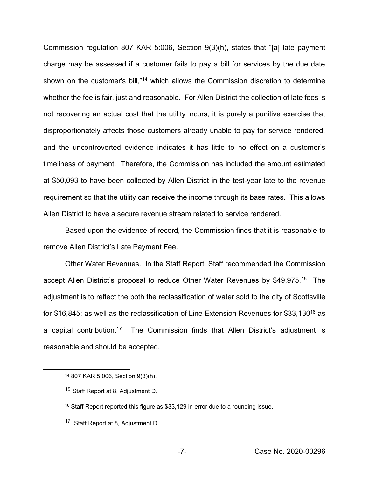Commission regulation 807 KAR 5:006, Section 9(3)(h), states that "[a] late payment charge may be assessed if a customer fails to pay a bill for services by the due date shown on the customer's bill,"<sup>14</sup> which allows the Commission discretion to determine whether the fee is fair, just and reasonable. For Allen District the collection of late fees is not recovering an actual cost that the utility incurs, it is purely a punitive exercise that disproportionately affects those customers already unable to pay for service rendered, and the uncontroverted evidence indicates it has little to no effect on a customer's timeliness of payment. Therefore, the Commission has included the amount estimated at \$50,093 to have been collected by Allen District in the test-year late to the revenue requirement so that the utility can receive the income through its base rates. This allows Allen District to have a secure revenue stream related to service rendered.

Based upon the evidence of record, the Commission finds that it is reasonable to remove Allen District's Late Payment Fee.

Other Water Revenues. In the Staff Report, Staff recommended the Commission accept Allen District's proposal to reduce Other Water Revenues by \$49,975.<sup>15</sup> The adjustment is to reflect the both the reclassification of water sold to the city of Scottsville for \$16,845; as well as the reclassification of Line Extension Revenues for \$33,13016 as a capital contribution.<sup>17</sup> The Commission finds that Allen District's adjustment is reasonable and should be accepted.

 <sup>14</sup> 807 KAR 5:006, Section 9(3)(h).

<sup>15</sup> Staff Report at 8, Adjustment D.

<sup>&</sup>lt;sup>16</sup> Staff Report reported this figure as \$33,129 in error due to a rounding issue.

<sup>&</sup>lt;sup>17</sup> Staff Report at 8, Adjustment D.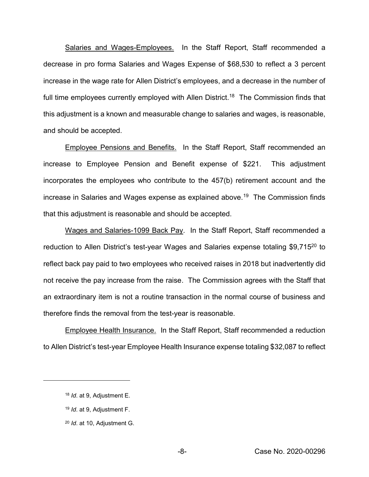Salaries and Wages-Employees. In the Staff Report, Staff recommended a decrease in pro forma Salaries and Wages Expense of \$68,530 to reflect a 3 percent increase in the wage rate for Allen District's employees, and a decrease in the number of full time employees currently employed with Allen District.<sup>18</sup> The Commission finds that this adjustment is a known and measurable change to salaries and wages, is reasonable, and should be accepted.

Employee Pensions and Benefits. In the Staff Report, Staff recommended an increase to Employee Pension and Benefit expense of \$221. This adjustment incorporates the employees who contribute to the 457(b) retirement account and the increase in Salaries and Wages expense as explained above.<sup>19</sup> The Commission finds that this adjustment is reasonable and should be accepted.

Wages and Salaries-1099 Back Pay. In the Staff Report, Staff recommended a reduction to Allen District's test-year Wages and Salaries expense totaling \$9,715<sup>20</sup> to reflect back pay paid to two employees who received raises in 2018 but inadvertently did not receive the pay increase from the raise. The Commission agrees with the Staff that an extraordinary item is not a routine transaction in the normal course of business and therefore finds the removal from the test-year is reasonable.

Employee Health Insurance. In the Staff Report, Staff recommended a reduction to Allen District's test-year Employee Health Insurance expense totaling \$32,087 to reflect

 $\overline{a}$ 

<sup>18</sup> *Id*. at 9, Adjustment E.

<sup>19</sup> *Id*. at 9, Adjustment F.

<sup>20</sup> *Id*. at 10, Adjustment G.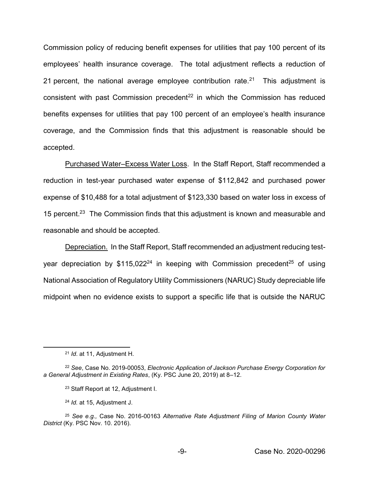Commission policy of reducing benefit expenses for utilities that pay 100 percent of its employees' health insurance coverage. The total adjustment reflects a reduction of 21 percent, the national average employee contribution rate.<sup>21</sup> This adjustment is consistent with past Commission precedent $22$  in which the Commission has reduced benefits expenses for utilities that pay 100 percent of an employee's health insurance coverage, and the Commission finds that this adjustment is reasonable should be accepted.

Purchased Water–Excess Water Loss. In the Staff Report, Staff recommended a reduction in test-year purchased water expense of \$112,842 and purchased power expense of \$10,488 for a total adjustment of \$123,330 based on water loss in excess of 15 percent.<sup>23</sup> The Commission finds that this adjustment is known and measurable and reasonable and should be accepted.

Depreciation. In the Staff Report, Staff recommended an adjustment reducing testyear depreciation by  $$115,022^{24}$  in keeping with Commission precedent<sup>25</sup> of using National Association of Regulatory Utility Commissioners (NARUC) Study depreciable life midpoint when no evidence exists to support a specific life that is outside the NARUC

 <sup>21</sup> *Id*. at 11, Adjustment H.

<sup>22</sup> *See*, Case No. 2019-00053, *Electronic Application of Jackson Purchase Energy Corporation for a General Adjustment in Existing Rates*, (Ky. PSC June 20, 2019) at 8–12.

<sup>23</sup> Staff Report at 12, Adjustment I.

<sup>24</sup> *Id.* at 15, Adjustment J.

<sup>25</sup> *See e.g.,* Case No. 2016-00163 *Alternative Rate Adjustment Filing of Marion County Water District* (Ky. PSC Nov. 10. 2016).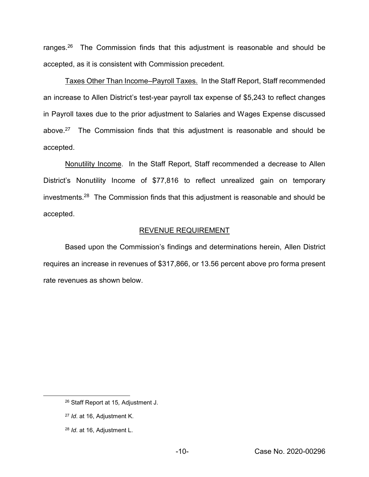ranges.<sup>26</sup> The Commission finds that this adjustment is reasonable and should be accepted, as it is consistent with Commission precedent.

Taxes Other Than Income–Payroll Taxes. In the Staff Report, Staff recommended an increase to Allen District's test-year payroll tax expense of \$5,243 to reflect changes in Payroll taxes due to the prior adjustment to Salaries and Wages Expense discussed above.<sup>27</sup> The Commission finds that this adjustment is reasonable and should be accepted.

Nonutility Income. In the Staff Report, Staff recommended a decrease to Allen District's Nonutility Income of \$77,816 to reflect unrealized gain on temporary investments.28 The Commission finds that this adjustment is reasonable and should be accepted.

## REVENUE REQUIREMENT

Based upon the Commission's findings and determinations herein, Allen District requires an increase in revenues of \$317,866, or 13.56 percent above pro forma present rate revenues as shown below.

 <sup>26</sup> Staff Report at 15*,* Adjustment J.

<sup>27</sup> *Id*. at 16, Adjustment K.

<sup>28</sup> *Id*. at 16, Adjustment L.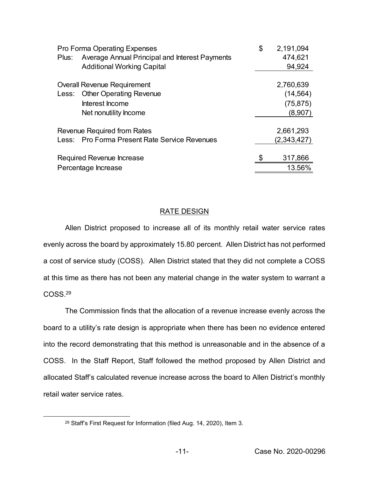| <b>Pro Forma Operating Expenses</b>                  | \$<br>2,191,094 |
|------------------------------------------------------|-----------------|
| Plus: Average Annual Principal and Interest Payments | 474,621         |
| <b>Additional Working Capital</b>                    | 94,924          |
|                                                      |                 |
| Overall Revenue Requirement                          | 2,760,639       |
| <b>Other Operating Revenue</b><br>Less:              | (14, 564)       |
| Interest Income                                      | (75, 875)       |
| Net nonutility Income                                | (8,907)         |
| Revenue Required from Rates                          | 2,661,293       |
| Less: Pro Forma Present Rate Service Revenues        | (2,343,427)     |
|                                                      |                 |
| Required Revenue Increase                            | 317,866         |
| Percentage Increase                                  | 13.56%          |

# RATE DESIGN

Allen District proposed to increase all of its monthly retail water service rates evenly across the board by approximately 15.80 percent. Allen District has not performed a cost of service study (COSS). Allen District stated that they did not complete a COSS at this time as there has not been any material change in the water system to warrant a COSS.29

The Commission finds that the allocation of a revenue increase evenly across the board to a utility's rate design is appropriate when there has been no evidence entered into the record demonstrating that this method is unreasonable and in the absence of a COSS. In the Staff Report, Staff followed the method proposed by Allen District and allocated Staff's calculated revenue increase across the board to Allen District's monthly retail water service rates.

 <sup>29</sup> Staff's First Request for Information (filed Aug. 14, 2020), Item 3.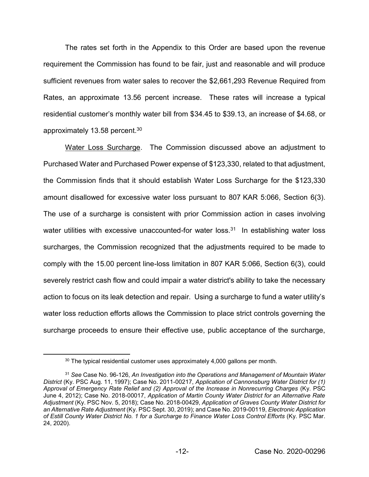The rates set forth in the Appendix to this Order are based upon the revenue requirement the Commission has found to be fair, just and reasonable and will produce sufficient revenues from water sales to recover the \$2,661,293 Revenue Required from Rates, an approximate 13.56 percent increase. These rates will increase a typical residential customer's monthly water bill from \$34.45 to \$39.13, an increase of \$4.68, or approximately 13.58 percent.<sup>30</sup>

Water Loss Surcharge. The Commission discussed above an adjustment to Purchased Water and Purchased Power expense of \$123,330, related to that adjustment, the Commission finds that it should establish Water Loss Surcharge for the \$123,330 amount disallowed for excessive water loss pursuant to 807 KAR 5:066, Section 6(3). The use of a surcharge is consistent with prior Commission action in cases involving water utilities with excessive unaccounted-for water loss. $31$  In establishing water loss surcharges, the Commission recognized that the adjustments required to be made to comply with the 15.00 percent line-loss limitation in 807 KAR 5:066, Section 6(3), could severely restrict cash flow and could impair a water district's ability to take the necessary action to focus on its leak detection and repair. Using a surcharge to fund a water utility's water loss reduction efforts allows the Commission to place strict controls governing the surcharge proceeds to ensure their effective use, public acceptance of the surcharge,

<sup>&</sup>lt;sup>30</sup> The typical residential customer uses approximately 4,000 gallons per month.

<sup>31</sup> *See* Case No. 96-126, *An Investigation into the Operations and Management of Mountain Water District* (Ky. PSC Aug. 11, 1997); Case No. 2011-00217, *Application of Cannonsburg Water District for (1) Approval of Emergency Rate Relief and (2) Approval of the Increase in Nonrecurring Charges* (Ky. PSC June 4, 2012); Case No. 2018-00017, *Application of Martin County Water District for an Alternative Rate Adjustment* (Ky. PSC Nov. 5, 2018); Case No. 2018-00429, *Application of Graves County Water District for an Alternative Rate Adjustment* (Ky. PSC Sept. 30, 2019); and Case No. 2019-00119, *Electronic Application of Estill County Water District No. 1 for a Surcharge to Finance Water Loss Control Efforts* (Ky. PSC Mar. 24, 2020).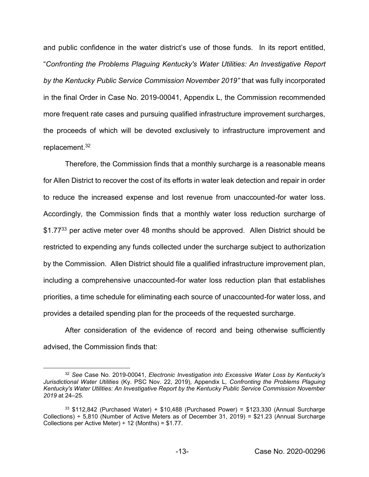and public confidence in the water district's use of those funds. In its report entitled, "*Confronting the Problems Plaguing Kentucky's Water Utilities: An Investigative Report by the Kentucky Public Service Commission November 2019"* that was fully incorporated in the final Order in Case No. 2019-00041, Appendix L, the Commission recommended more frequent rate cases and pursuing qualified infrastructure improvement surcharges, the proceeds of which will be devoted exclusively to infrastructure improvement and replacement. 32

Therefore, the Commission finds that a monthly surcharge is a reasonable means for Allen District to recover the cost of its efforts in water leak detection and repair in order to reduce the increased expense and lost revenue from unaccounted-for water loss. Accordingly, the Commission finds that a monthly water loss reduction surcharge of \$1.77<sup>33</sup> per active meter over 48 months should be approved. Allen District should be restricted to expending any funds collected under the surcharge subject to authorization by the Commission. Allen District should file a qualified infrastructure improvement plan, including a comprehensive unaccounted-for water loss reduction plan that establishes priorities, a time schedule for eliminating each source of unaccounted-for water loss, and provides a detailed spending plan for the proceeds of the requested surcharge.

After consideration of the evidence of record and being otherwise sufficiently advised, the Commission finds that:

 <sup>32</sup> *See* Case No. 2019-00041, *Electronic Investigation into Excessive Water Loss by Kentucky's Jurisdictional Water Utilities* (Ky. PSC Nov. 22, 2019)*,* Appendix L*, Confronting the Problems Plaguing Kentucky's Water Utilities: An Investigative Report by the Kentucky Public Service Commission November 2019* at 24–25*.*

 $33$  \$112,842 (Purchased Water) + \$10,488 (Purchased Power) = \$123,330 (Annual Surcharge Collections) ÷ 5,810 (Number of Active Meters as of December 31, 2019) = \$21.23 (Annual Surcharge Collections per Active Meter)  $\div$  12 (Months) = \$1.77.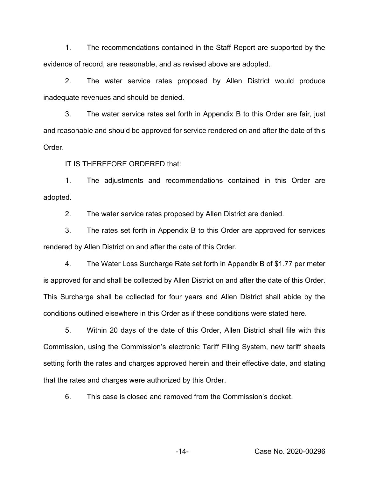1. The recommendations contained in the Staff Report are supported by the evidence of record, are reasonable, and as revised above are adopted.

2. The water service rates proposed by Allen District would produce inadequate revenues and should be denied.

3. The water service rates set forth in Appendix B to this Order are fair, just and reasonable and should be approved for service rendered on and after the date of this Order.

IT IS THEREFORE ORDERED that:

1. The adjustments and recommendations contained in this Order are adopted.

2. The water service rates proposed by Allen District are denied.

3. The rates set forth in Appendix B to this Order are approved for services rendered by Allen District on and after the date of this Order.

4. The Water Loss Surcharge Rate set forth in Appendix B of \$1.77 per meter is approved for and shall be collected by Allen District on and after the date of this Order. This Surcharge shall be collected for four years and Allen District shall abide by the conditions outlined elsewhere in this Order as if these conditions were stated here.

5. Within 20 days of the date of this Order, Allen District shall file with this Commission, using the Commission's electronic Tariff Filing System, new tariff sheets setting forth the rates and charges approved herein and their effective date, and stating that the rates and charges were authorized by this Order.

6. This case is closed and removed from the Commission's docket.

-14- Case No. 2020-00296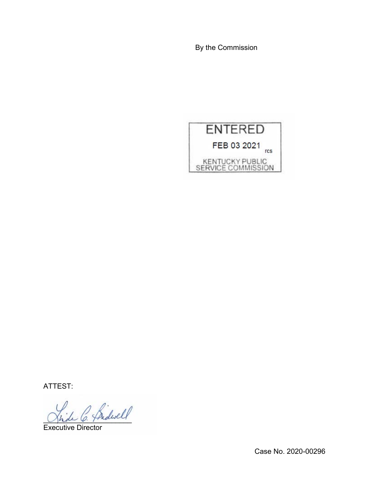By the Commission



ATTEST:

fridwell

Executive Director

Case No. 2020-00296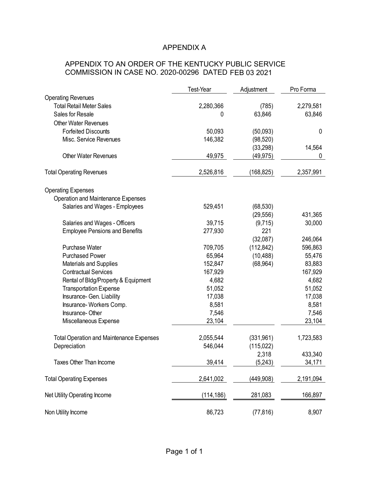# APPENDIX A

# APPENDIX TO AN ORDER OF THE KENTUCKY PUBLIC SERVICE COMMISSION IN CASE NO. 2020-00296 DATED FEB 03 2021

|                                                 | Test-Year  | Adjustment | Pro Forma |
|-------------------------------------------------|------------|------------|-----------|
| <b>Operating Revenues</b>                       |            |            |           |
| <b>Total Retail Meter Sales</b>                 | 2,280,366  | (785)      | 2,279,581 |
| Sales for Resale                                | 0          | 63,846     | 63,846    |
| <b>Other Water Revenues</b>                     |            |            |           |
| <b>Forfeited Discounts</b>                      | 50,093     | (50,093)   | 0         |
| Misc. Service Revenues                          | 146,382    | (98, 520)  |           |
|                                                 |            | (33, 298)  | 14,564    |
| <b>Other Water Revenues</b>                     | 49,975     | (49, 975)  | 0         |
| <b>Total Operating Revenues</b>                 | 2,526,816  | (168, 825) | 2,357,991 |
| <b>Operating Expenses</b>                       |            |            |           |
| Operation and Maintenance Expenses              |            |            |           |
| Salaries and Wages - Employees                  | 529,451    | (68, 530)  |           |
|                                                 |            | (29, 556)  | 431,365   |
| Salaries and Wages - Officers                   | 39,715     | (9,715)    | 30,000    |
| <b>Employee Pensions and Benefits</b>           | 277,930    | 221        |           |
|                                                 |            | (32,087)   | 246,064   |
| <b>Purchase Water</b>                           | 709,705    | (112, 842) | 596,863   |
| <b>Purchased Power</b>                          | 65,964     | (10, 488)  | 55,476    |
| Materials and Supplies                          | 152,847    | (68, 964)  | 83,883    |
| <b>Contractual Services</b>                     | 167,929    |            | 167,929   |
| Rental of Bldg/Property & Equipment             | 4,682      |            | 4,682     |
| <b>Transportation Expense</b>                   | 51,052     |            | 51,052    |
| Insurance- Gen. Liability                       | 17,038     |            | 17,038    |
| Insurance- Workers Comp.                        | 8,581      |            | 8,581     |
| Insurance-Other                                 | 7,546      |            | 7,546     |
| Miscellaneous Expense                           | 23,104     |            | 23,104    |
| <b>Total Operation and Maintenance Expenses</b> | 2,055,544  | (331,961)  | 1,723,583 |
| Depreciation                                    | 546,044    | (115, 022) |           |
|                                                 |            | 2,318      | 433,340   |
| Taxes Other Than Income                         | 39,414     | (5, 243)   | 34,171    |
| <b>Total Operating Expenses</b>                 | 2,641,002  | (449,908)  | 2,191,094 |
| Net Utility Operating Income                    | (114, 186) | 281,083    | 166,897   |
| Non Utility Income                              | 86,723     | (77, 816)  | 8,907     |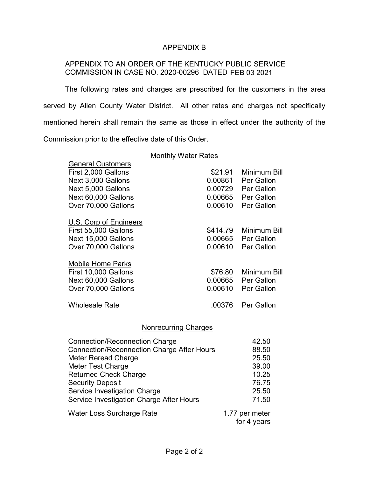# APPENDIX B

# APPENDIX TO AN ORDER OF THE KENTUCKY PUBLIC SERVICE COMMISSION IN CASE NO. 2020-00296 DATED FEB 03 2021

The following rates and charges are prescribed for the customers in the area served by Allen County Water District. All other rates and charges not specifically mentioned herein shall remain the same as those in effect under the authority of the Commission prior to the effective date of this Order.

### Monthly Water Rates

General Customers

| First 2,000 Gallons      | \$21.91                     | Minimum Bill |
|--------------------------|-----------------------------|--------------|
| Next 3,000 Gallons       | 0.00861                     | Per Gallon   |
| Next 5,000 Gallons       | 0.00729                     | Per Gallon   |
| Next 60,000 Gallons      | 0.00665                     | Per Gallon   |
| Over 70,000 Gallons      | 0.00610                     | Per Gallon   |
| U.S. Corp of Engineers   |                             |              |
| First 55,000 Gallons     | \$414.79                    | Minimum Bill |
| Next 15,000 Gallons      | 0.00665                     | Per Gallon   |
| Over 70,000 Gallons      | 0.00610                     | Per Gallon   |
| <b>Mobile Home Parks</b> |                             |              |
| First 10,000 Gallons     | \$76.80                     | Minimum Bill |
| Next 60,000 Gallons      | 0.00665                     | Per Gallon   |
| Over 70,000 Gallons      | 0.00610                     | Per Gallon   |
| <b>Wholesale Rate</b>    | .00376                      | Per Gallon   |
|                          | <b>Nonrecurring Charges</b> |              |
|                          |                             |              |

| <b>Connection/Reconnection Charge</b>             | 42.50          |
|---------------------------------------------------|----------------|
| <b>Connection/Reconnection Charge After Hours</b> | 88.50          |
| <b>Meter Reread Charge</b>                        | 25.50          |
| <b>Meter Test Charge</b>                          | 39.00          |
| <b>Returned Check Charge</b>                      | 10.25          |
| <b>Security Deposit</b>                           | 76.75          |
| Service Investigation Charge                      | 25.50          |
| Service Investigation Charge After Hours          | 71.50          |
| <b>Water Loss Surcharge Rate</b>                  | 1.77 per meter |
|                                                   | for 4 years    |